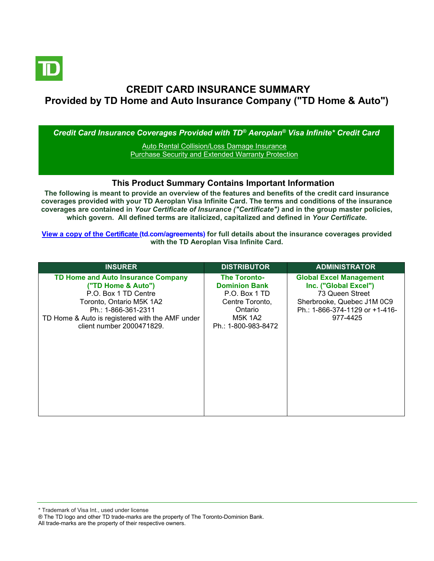

# **CREDIT CARD INSURANCE SUMMARY Provided by TD Home and Auto Insurance Company ("TD Home & Auto")**

*Credit Card Insurance Coverages Provided with TD® Aeroplan® Visa Infinite\* Credit Card*

[Auto Rental Collision/Loss Damage Insurance](#page-3-0) [Purchase Security and Extended Warranty Protection](#page-4-0)

## **This Product Summary Contains Important Information**

**The following is meant to provide an overview of the features and benefits of the credit card insurance coverages provided with your TD Aeroplan Visa Infinite Card. The terms and conditions of the insurance coverages are contained in** *Your Certificate of Insurance ("Certificate")* **and in the group master policies, which govern. All defined terms are italicized, capitalized and defined in** *Your Certificate***.**

**[View a copy of the Certificate](https://www.td.com/ca/en/personal-banking/how-to/manage-my-credit-card/getting-started/?tdtab=4) (td.com/agreements) for full details about the insurance coverages provided with the TD Aeroplan Visa Infinite Card.**

| <b>INSURER</b>                                                                                                                                                                                                             | <b>DISTRIBUTOR</b>                                                                                                                  | <b>ADMINISTRATOR</b>                                                                                                                                   |
|----------------------------------------------------------------------------------------------------------------------------------------------------------------------------------------------------------------------------|-------------------------------------------------------------------------------------------------------------------------------------|--------------------------------------------------------------------------------------------------------------------------------------------------------|
| <b>TD Home and Auto Insurance Company</b><br>("TD Home & Auto")<br>P.O. Box 1 TD Centre<br>Toronto, Ontario M5K 1A2<br>Ph.: 1-866-361-2311<br>TD Home & Auto is registered with the AMF under<br>client number 2000471829. | <b>The Toronto-</b><br><b>Dominion Bank</b><br>P.O. Box 1 TD<br>Centre Toronto,<br>Ontario<br><b>M5K 1A2</b><br>Ph.: 1-800-983-8472 | <b>Global Excel Management</b><br>Inc. ("Global Excel")<br>73 Queen Street<br>Sherbrooke, Quebec J1M 0C9<br>Ph.: 1-866-374-1129 or +1-416-<br>977-4425 |

All trade-marks are the property of their respective owners.

<sup>\*</sup> Trademark of Visa Int., used under license

<sup>®</sup> The TD logo and other TD trade-marks are the property of The Toronto-Dominion Bank.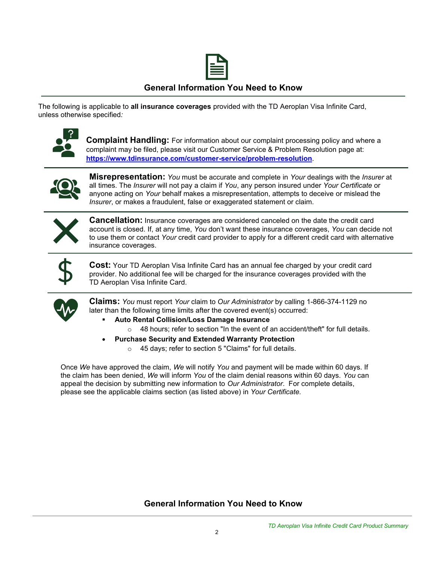

# **General Information You Need to Know**

The following is applicable to **all insurance coverages** provided with the TD Aeroplan Visa Infinite Card, unless otherwise specified*:*



**Complaint Handling:** For information about our complaint processing policy and where a complaint may be filed, please visit our Customer Service & Problem Resolution page at: **<https://www.tdinsurance.com/customer-service/problem-resolution>**.



**Misrepresentation:** *You* must be accurate and complete in *Your* dealings with the *Insurer* at all times. The *Insurer* will not pay a claim if *You*, any person insured under *Your Certificate* or anyone acting on *Your* behalf makes a misrepresentation, attempts to deceive or mislead the *Insurer*, or makes a fraudulent, false or exaggerated statement or claim.



**Cancellation:** Insurance coverages are considered canceled on the date the credit card account is closed. If, at any time, *You* don't want these insurance coverages, *You* can decide not to use them or contact *Your* credit card provider to apply for a different credit card with alternative insurance coverages.



**Cost:** Your TD Aeroplan Visa Infinite Card has an annual fee charged by your credit card provider. No additional fee will be charged for the insurance coverages provided with the TD Aeroplan Visa Infinite Card.



**Claims:** *You* must report *Your* claim to *Our Administrator* by calling 1-866-374-1129 no later than the following time limits after the covered event(s) occurred:

- **Auto Rental Collision/Loss Damage Insurance** 
	- $\circ$  48 hours; refer to section "In the event of an accident/theft" for full details.
- **Purchase Security and Extended Warranty Protection**
	- o 45 days; refer to section 5 "Claims" for full details.

Once *We* have approved the claim, *We* will notify *You* and payment will be made within 60 days. If the claim has been denied, *We* will inform *You* of the claim denial reasons within 60 days. *You* can appeal the decision by submitting new information to *Our Administrator*. For complete details, please see the applicable claims section (as listed above) in *Your Certificate.*

**General Information You Need to Know**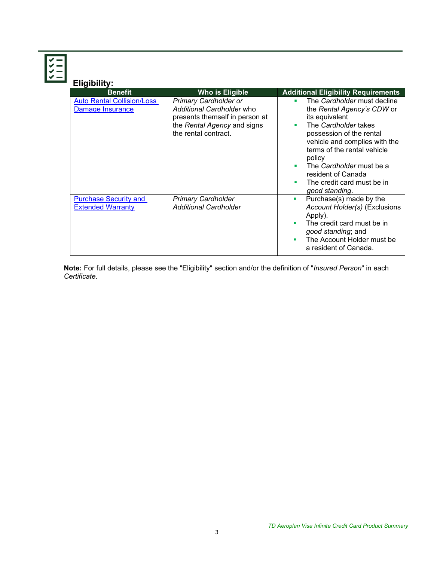| <b>Eligibility:</b>                                      |                                                                                                                                                    |                                                                                                                                                                                                                                                                                                                            |
|----------------------------------------------------------|----------------------------------------------------------------------------------------------------------------------------------------------------|----------------------------------------------------------------------------------------------------------------------------------------------------------------------------------------------------------------------------------------------------------------------------------------------------------------------------|
| <b>Benefit</b>                                           | <b>Who is Eligible</b>                                                                                                                             | <b>Additional Eligibility Requirements</b>                                                                                                                                                                                                                                                                                 |
| <b>Auto Rental Collision/Loss</b><br>Damage Insurance    | <b>Primary Cardholder or</b><br>Additional Cardholder who<br>presents themself in person at<br>the Rental Agency and signs<br>the rental contract. | The Cardholder must decline<br>٠<br>the Rental Agency's CDW or<br>its equivalent<br>The Cardholder takes<br>٠<br>possession of the rental<br>vehicle and complies with the<br>terms of the rental vehicle<br>policy<br>The Cardholder must be a<br>resident of Canada<br>The credit card must be in<br>٠<br>good standing. |
| <b>Purchase Security and</b><br><b>Extended Warranty</b> | <b>Primary Cardholder</b><br><b>Additional Cardholder</b>                                                                                          | Purchase(s) made by the<br>$\blacksquare$<br>Account Holder(s) (Exclusions<br>Apply).<br>The credit card must be in<br>good standing; and<br>The Account Holder must be<br>٠<br>a resident of Canada.                                                                                                                      |

**Note:** For full details, please see the "Eligibility" section and/or the definition of "*Insured Person*" in each *Certificate*.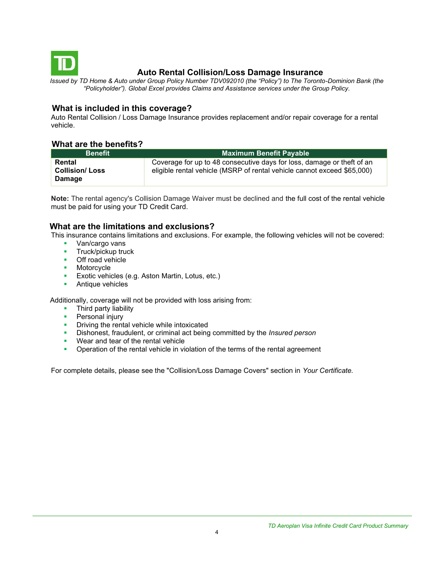<span id="page-3-0"></span>

# **Auto Rental Collision/Loss Damage Insurance**

*Issued by TD Home & Auto under Group Policy Number TDV092010 (the "Policy") to The Toronto-Dominion Bank (the "Policyholder"). Global Excel provides Claims and Assistance services under the Group Policy.*

# **What is included in this coverage?**

Auto Rental Collision / Loss Damage Insurance provides replacement and/or repair coverage for a rental vehicle.

## **What are the benefits?**

| <b>Benefit</b>                            | <b>Maximum Benefit Payable</b>                                                                                                                    |  |  |
|-------------------------------------------|---------------------------------------------------------------------------------------------------------------------------------------------------|--|--|
| Rental<br><b>Collision/Loss</b><br>Damage | Coverage for up to 48 consecutive days for loss, damage or theft of an<br>eligible rental vehicle (MSRP of rental vehicle cannot exceed \$65,000) |  |  |

**Note:** The rental agency's Collision Damage Waiver must be declined and the full cost of the rental vehicle must be paid for using your TD Credit Card.

# **What are the limitations and exclusions?**

This insurance contains limitations and exclusions. For example, the following vehicles will not be covered:

- Van/cargo vans
- **■** Truck/pickup truck
- Off road vehicle
- Motorcycle
- **Exotic vehicles (e.g. Aston Martin, Lotus, etc.)**
- Antique vehicles

Additionally, coverage will not be provided with loss arising from:

- Third party liability
- **•** Personal injury
- **•** Driving the rental vehicle while intoxicated
- Dishonest, fraudulent, or criminal act being committed by the *Insured person*
- Wear and tear of the rental vehicle
- **•** Operation of the rental vehicle in violation of the terms of the rental agreement

For complete details, please see the "Collision/Loss Damage Covers" section in *Your Certificate.*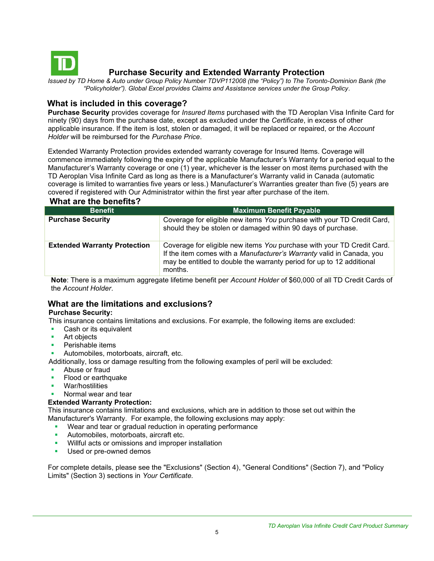<span id="page-4-0"></span>

# **Purchase Security and Extended Warranty Protection**

*Issued by TD Home & Auto under Group Policy Number TDVP112008 (the "Policy") to The Toronto-Dominion Bank (the "Policyholder"). Global Excel provides Claims and Assistance services under the Group Policy.*

### **What is included in this coverage?**

**Purchase Security** provides coverage for *Insured Items* purchased with the TD Aeroplan Visa Infinite Card for ninety (90) days from the purchase date, except as excluded under the *Certificate*, in excess of other applicable insurance. If the item is lost, stolen or damaged, it will be replaced or repaired, or the *Account Holder* will be reimbursed for the *Purchase Price*.

Extended Warranty Protection provides extended warranty coverage for Insured Items. Coverage will commence immediately following the expiry of the applicable Manufacturer's Warranty for a period equal to the Manufacturer's Warranty coverage or one (1) year, whichever is the lesser on most items purchased with the TD Aeroplan Visa Infinite Card as long as there is a Manufacturer's Warranty valid in Canada (automatic coverage is limited to warranties five years or less.) Manufacturer's Warranties greater than five (5) years are covered if registered with Our Administrator within the first year after purchase of the item.  **What are the benefits?**

| <b>THREE AND MANUSHIP</b>           |                                                                                                                                                                                                                                     |
|-------------------------------------|-------------------------------------------------------------------------------------------------------------------------------------------------------------------------------------------------------------------------------------|
| <b>Benefit</b>                      | <b>Maximum Benefit Payable</b>                                                                                                                                                                                                      |
| <b>Purchase Security</b>            | Coverage for eligible new items You purchase with your TD Credit Card,<br>should they be stolen or damaged within 90 days of purchase.                                                                                              |
| <b>Extended Warranty Protection</b> | Coverage for eligible new items You purchase with your TD Credit Card.<br>If the item comes with a Manufacturer's Warranty valid in Canada, you<br>may be entitled to double the warranty period for up to 12 additional<br>months. |

**Note**: There is a maximum aggregate lifetime benefit per *Account Holder* of \$60,000 of all TD Credit Cards of the *Account Holder*.

# **What are the limitations and exclusions?**

### **Purchase Security:**

This insurance contains limitations and exclusions. For example, the following items are excluded:

- Cash or its equivalent
- Art objects
- Perishable items
- Automobiles, motorboats, aircraft, etc.
- Additionally, loss or damage resulting from the following examples of peril will be excluded:
- Abuse or fraud
- Flood or earthquake
- War/hostilities
- Normal wear and tear

### **Extended Warranty Protection:**

This insurance contains limitations and exclusions, which are in addition to those set out within the Manufacturer's Warranty. For example, the following exclusions may apply:

- Wear and tear or gradual reduction in operating performance
- **EXECUTE:** Automobiles, motorboats, aircraft etc.
- Willful acts or omissions and improper installation
- **■** Used or pre-owned demos

For complete details, please see the "Exclusions" (Section 4), "General Conditions" (Section 7), and "Policy Limits" (Section 3) sections in *Your Certificate.*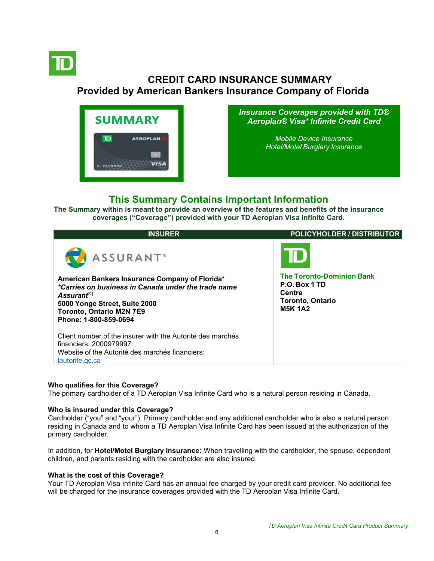<span id="page-5-0"></span>

# **CREDIT CARD INSURANCE SUMMARY Provided by American Bankers Insurance Company of Florida**



*Insurance Coverages provided with TD® Aeroplan® Visa\* Infinite Credit Card*

> *[Mobile Device Insurance](#page-5-0) [Hotel/Motel](#page-5-0) Burglary Insurance*

# **This Summary Contains Important Information**

**The Summary within is meant to provide an overview of the features and benefits of the insurance coverages ("Coverage") provided with your TD Aeroplan Visa Infinite Card.**

| <b>INSURER</b>                                                                                                                                                                                                               | <b>POLICYHOLDER / DISTRIBUTOR</b>                                                                               |
|------------------------------------------------------------------------------------------------------------------------------------------------------------------------------------------------------------------------------|-----------------------------------------------------------------------------------------------------------------|
| <b>ASSURANT</b> ®                                                                                                                                                                                                            |                                                                                                                 |
| American Bankers Insurance Company of Florida*<br>*Carries on business in Canada under the trade name<br>Assurant <sup>®†</sup><br>5000 Yonge Street, Suite 2000<br><b>Toronto, Ontario M2N 7E9</b><br>Phone: 1-800-859-0694 | <b>The Toronto-Dominion Bank</b><br>P.O. Box 1 TD<br><b>Centre</b><br><b>Toronto, Ontario</b><br><b>M5K 1A2</b> |
| Client number of the insurer with the Autorité des marchés<br>financiers: 2000979997<br>Website of the Autorité des marchés financiers:<br>lautorite.gc.ca                                                                   |                                                                                                                 |

### **Who qualifies for this Coverage?**

The primary cardholder of a TD Aeroplan Visa Infinite Card who is a natural person residing in Canada.

### **Who is insured under this Coverage?**

Cardholder ("you" and "your"): Primary cardholder and any additional cardholder who is also a natural person residing in Canada and to whom a TD Aeroplan Visa Infinite Card has been issued at the authorization of the primary cardholder.

In addition, for **Hotel/Motel Burglary Insurance:** When travelling with the cardholder, the spouse, dependent children, and parents residing with the cardholder are also insured.

### **What is the cost of this Coverage?**

Your TD Aeroplan Visa Infinite Card has an annual fee charged by your credit card provider. No additional fee will be charged for the insurance coverages provided with the TD Aeroplan Visa Infinite Card.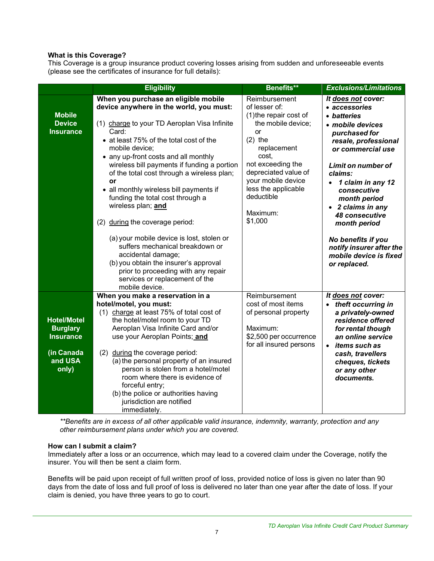## **What is this Coverage?**

This Coverage is a group insurance product covering losses arising from sudden and unforeseeable events (please see the certificates of insurance for full details):

|                                                                                             | <b>Eligibility</b>                                                                                                                                                                                                                                                                                                                                                                                                                                                                                                                                                                                                                                                                                               | Benefits**                                                                                                                                                                                                                                               | <b>Exclusions/Limitations</b>                                                                                                                                                                                                                                                                                                                                                              |
|---------------------------------------------------------------------------------------------|------------------------------------------------------------------------------------------------------------------------------------------------------------------------------------------------------------------------------------------------------------------------------------------------------------------------------------------------------------------------------------------------------------------------------------------------------------------------------------------------------------------------------------------------------------------------------------------------------------------------------------------------------------------------------------------------------------------|----------------------------------------------------------------------------------------------------------------------------------------------------------------------------------------------------------------------------------------------------------|--------------------------------------------------------------------------------------------------------------------------------------------------------------------------------------------------------------------------------------------------------------------------------------------------------------------------------------------------------------------------------------------|
| <b>Mobile</b><br><b>Device</b><br><b>Insurance</b>                                          | When you purchase an eligible mobile<br>device anywhere in the world, you must:<br>(1) charge to your TD Aeroplan Visa Infinite<br>Card:<br>• at least 75% of the total cost of the<br>mobile device;<br>• any up-front costs and all monthly<br>wireless bill payments if funding a portion<br>of the total cost through a wireless plan;<br>or<br>• all monthly wireless bill payments if<br>funding the total cost through a<br>wireless plan; and<br>(2) during the coverage period:<br>(a) your mobile device is lost, stolen or<br>suffers mechanical breakdown or<br>accidental damage;<br>(b) you obtain the insurer's approval<br>prior to proceeding with any repair<br>services or replacement of the | Reimbursement<br>of lesser of:<br>(1) the repair cost of<br>the mobile device;<br>or<br>$(2)$ the<br>replacement<br>cost,<br>not exceeding the<br>depreciated value of<br>your mobile device<br>less the applicable<br>deductible<br>Maximum:<br>\$1,000 | It does not cover:<br>• accessories<br>• batteries<br>· mobile devices<br>purchased for<br>resale, professional<br>or commercial use<br><b>Limit on number of</b><br>claims:<br>1 claim in any 12<br>consecutive<br>month period<br>• 2 claims in any<br><b>48 consecutive</b><br>month period<br>No benefits if you<br>notify insurer after the<br>mobile device is fixed<br>or replaced. |
| <b>Hotel/Motel</b><br><b>Burglary</b><br><b>Insurance</b><br>(in Canada<br>and USA<br>only) | mobile device.<br>When you make a reservation in a<br>hotel/motel, you must:<br>(1) charge at least 75% of total cost of<br>the hotel/motel room to your TD<br>Aeroplan Visa Infinite Card and/or<br>use your Aeroplan Points; and<br>(2)<br>during the coverage period:<br>(a) the personal property of an insured<br>person is stolen from a hotel/motel<br>room where there is evidence of<br>forceful entry;<br>(b) the police or authorities having<br>jurisdiction are notified<br>immediately.                                                                                                                                                                                                            | Reimbursement<br>cost of most items<br>of personal property<br>Maximum:<br>\$2,500 per occurrence<br>for all insured persons                                                                                                                             | It does not cover:<br>• theft occurring in<br>a privately-owned<br>residence offered<br>for rental though<br>an online service<br>• <i>items such as</i><br>cash, travellers<br>cheques, tickets<br>or any other<br>documents.                                                                                                                                                             |

*\*\*Benefits are in excess of all other applicable valid insurance, indemnity, warranty, protection and any other reimbursement plans under which you are covered.*

### **How can I submit a claim?**

Immediately after a loss or an occurrence, which may lead to a covered claim under the Coverage, notify the insurer. You will then be sent a claim form.

Benefits will be paid upon receipt of full written proof of loss, provided notice of loss is given no later than 90 days from the date of loss and full proof of loss is delivered no later than one year after the date of loss. If your claim is denied, you have three years to go to court.